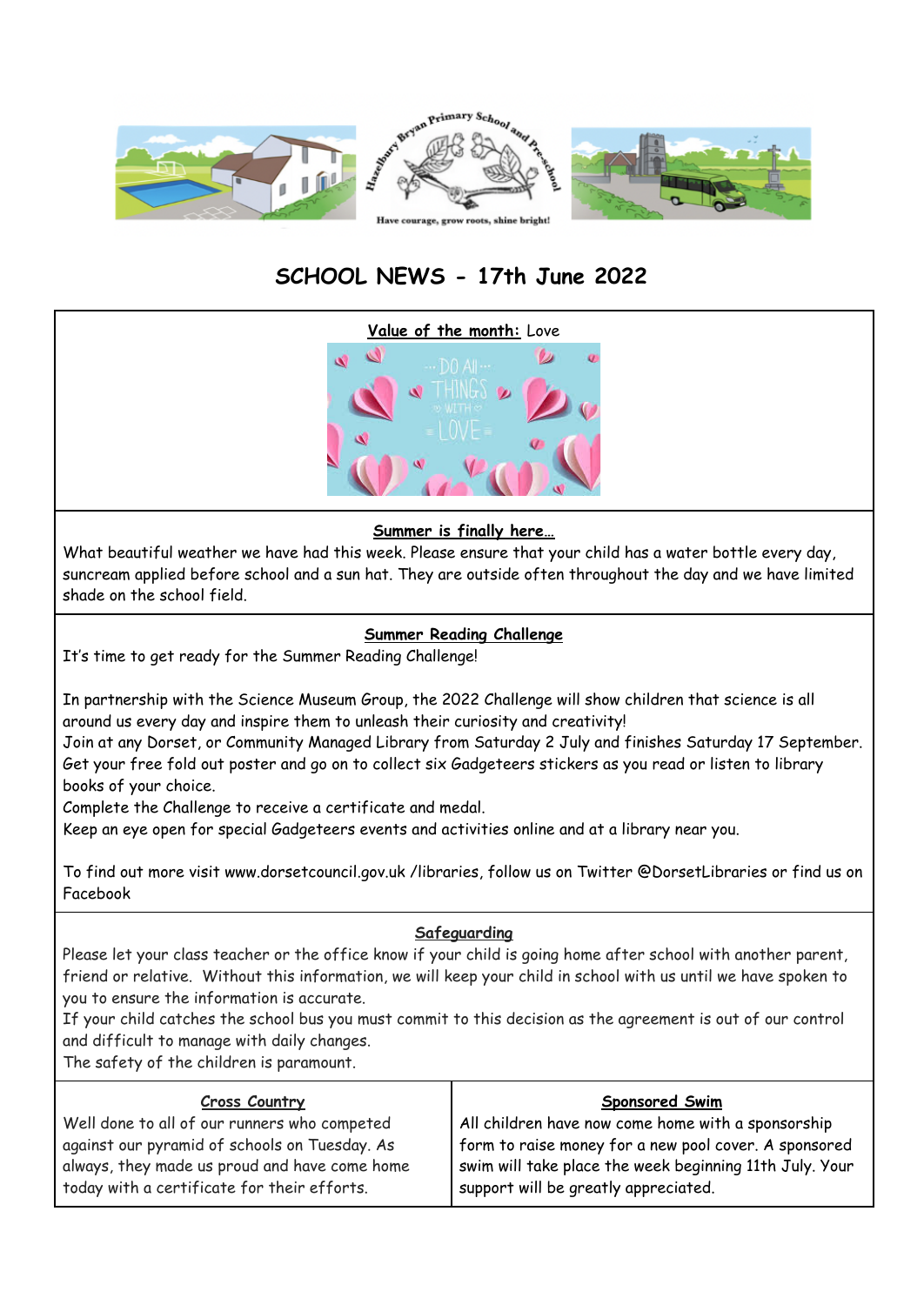

# **SCHOOL NEWS - 17th June 2022**



## **Summer is finally here…**

What beautiful weather we have had this week. Please ensure that your child has a water bottle every day, suncream applied before school and a sun hat. They are outside often throughout the day and we have limited shade on the school field.

# **Summer Reading Challenge**

It's time to get ready for the Summer Reading Challenge!

In partnership with the Science Museum Group, the 2022 Challenge will show children that science is all around us every day and inspire them to unleash their curiosity and creativity!

Join at any Dorset, or Community Managed Library from Saturday 2 July and finishes Saturday 17 September. Get your free fold out poster and go on to collect six Gadgeteers stickers as you read or listen to library books of your choice.

Complete the Challenge to receive a certificate and medal.

Keep an eye open for special Gadgeteers events and activities online and at a library near you.

To find out more visit www.dorsetcouncil.gov.uk /libraries, follow us on Twitter @DorsetLibraries or find us on Facebook

# **Safeguarding**

Please let your class teacher or the office know if your child is going home after school with another parent, friend or relative. Without this information, we will keep your child in school with us until we have spoken to you to ensure the information is accurate.

If your child catches the school bus you must commit to this decision as the agreement is out of our control and difficult to manage with daily changes.

The safety of the children is paramount.

| <b>Cross Country</b>                                                                                                                          | <b>Sponsored Swim</b>                                                                                                                                    |
|-----------------------------------------------------------------------------------------------------------------------------------------------|----------------------------------------------------------------------------------------------------------------------------------------------------------|
| Well done to all of our runners who competed                                                                                                  | All children have now come home with a sponsorship                                                                                                       |
| against our pyramid of schools on Tuesday. As<br>always, they made us proud and have come home<br>today with a certificate for their efforts. | form to raise money for a new pool cover. A sponsored<br>swim will take place the week beginning 11th July. Your<br>support will be greatly appreciated. |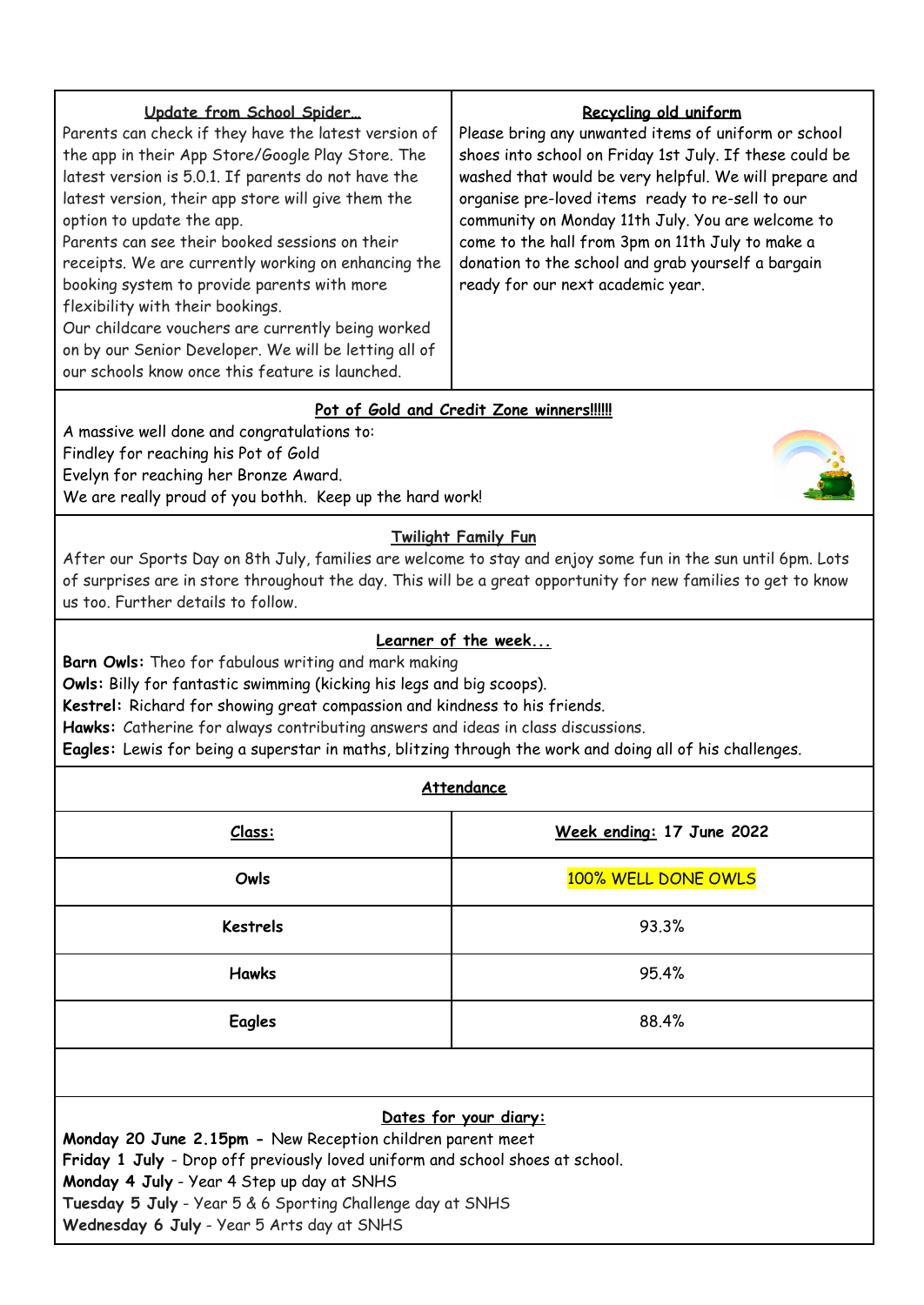# **Pot of Gold and Credit Zone winners!!!!!!**

A massive well done and congratulations to: Findley for reaching his Pot of Gold Evelyn for reaching her Bronze Award. We are really proud of you bothh. Keep up the hard work!



## **Twilight Family Fun**

After our Sports Day on 8th July, families are welcome to stay and enjoy some fun in the sun until 6pm. Lots of surprises are in store throughout the day. This will be a great opportunity for new families to get to know us too. Further details to follow.

#### **Learner of the week...**

**Barn Owls:** Theo for fabulous writing and mark making

**Owls:** Billy for fantastic swimming (kicking his legs and big scoops).

**Kestrel:** Richard for showing great compassion and kindness to his friends.

**Hawks:** Catherine for always contributing answers and ideas in class discussions.

**Eagles:** Lewis for being a superstar in maths, blitzing through the work and doing all of his challenges.

## **Attendance**

| Class:          | Week ending: 17 June 2022 |
|-----------------|---------------------------|
| Owls            | 100% WELL DONE OWLS       |
| <b>Kestrels</b> | 93.3%                     |
| <b>Hawks</b>    | 95.4%                     |
| <b>Eagles</b>   | 88.4%                     |

## **Dates for your diary:**

**Monday 20 June 2.15pm -** New Reception children parent meet

**Friday 1 July** - Drop off previously loved uniform and school shoes at school.

**Monday 4 July** - Year 4 Step up day at SNHS

**Tuesday 5 July** - Year 5 & 6 Sporting Challenge day at SNHS

**Wednesday 6 July** - Year 5 Arts day at SNHS